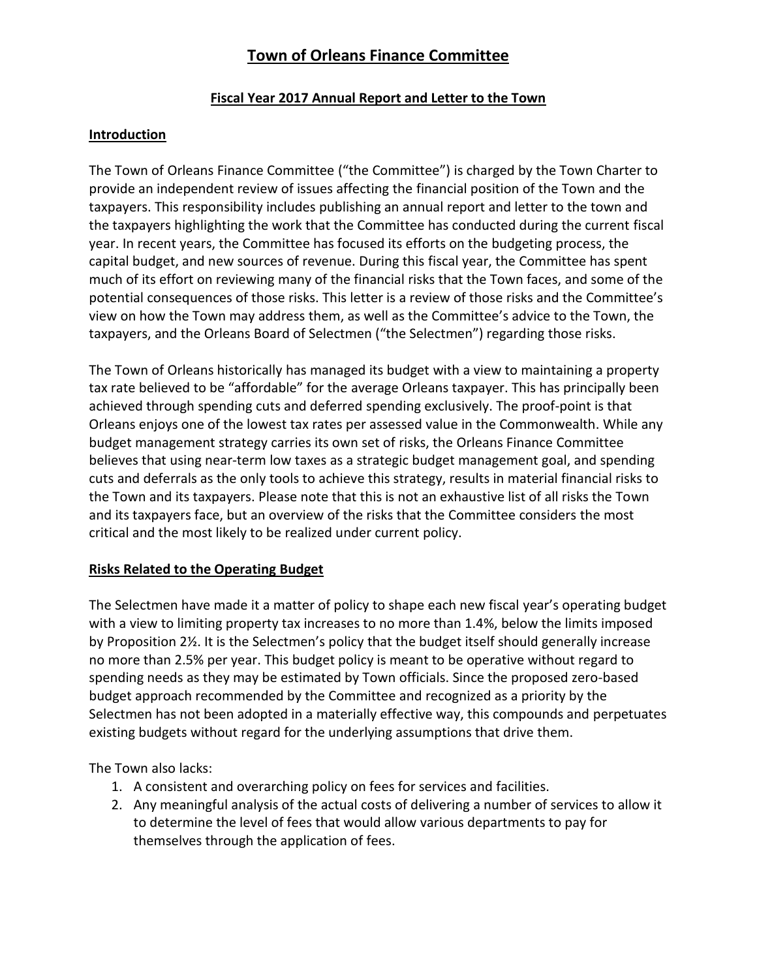### **Fiscal Year 2017 Annual Report and Letter to the Town**

### **Introduction**

The Town of Orleans Finance Committee ("the Committee") is charged by the Town Charter to provide an independent review of issues affecting the financial position of the Town and the taxpayers. This responsibility includes publishing an annual report and letter to the town and the taxpayers highlighting the work that the Committee has conducted during the current fiscal year. In recent years, the Committee has focused its efforts on the budgeting process, the capital budget, and new sources of revenue. During this fiscal year, the Committee has spent much of its effort on reviewing many of the financial risks that the Town faces, and some of the potential consequences of those risks. This letter is a review of those risks and the Committee's view on how the Town may address them, as well as the Committee's advice to the Town, the taxpayers, and the Orleans Board of Selectmen ("the Selectmen") regarding those risks.

The Town of Orleans historically has managed its budget with a view to maintaining a property tax rate believed to be "affordable" for the average Orleans taxpayer. This has principally been achieved through spending cuts and deferred spending exclusively. The proof-point is that Orleans enjoys one of the lowest tax rates per assessed value in the Commonwealth. While any budget management strategy carries its own set of risks, the Orleans Finance Committee believes that using near-term low taxes as a strategic budget management goal, and spending cuts and deferrals as the only tools to achieve this strategy, results in material financial risks to the Town and its taxpayers. Please note that this is not an exhaustive list of all risks the Town and its taxpayers face, but an overview of the risks that the Committee considers the most critical and the most likely to be realized under current policy.

### **Risks Related to the Operating Budget**

The Selectmen have made it a matter of policy to shape each new fiscal year's operating budget with a view to limiting property tax increases to no more than 1.4%, below the limits imposed by Proposition 2½. It is the Selectmen's policy that the budget itself should generally increase no more than 2.5% per year. This budget policy is meant to be operative without regard to spending needs as they may be estimated by Town officials. Since the proposed zero-based budget approach recommended by the Committee and recognized as a priority by the Selectmen has not been adopted in a materially effective way, this compounds and perpetuates existing budgets without regard for the underlying assumptions that drive them.

The Town also lacks:

- 1. A consistent and overarching policy on fees for services and facilities.
- 2. Any meaningful analysis of the actual costs of delivering a number of services to allow it to determine the level of fees that would allow various departments to pay for themselves through the application of fees.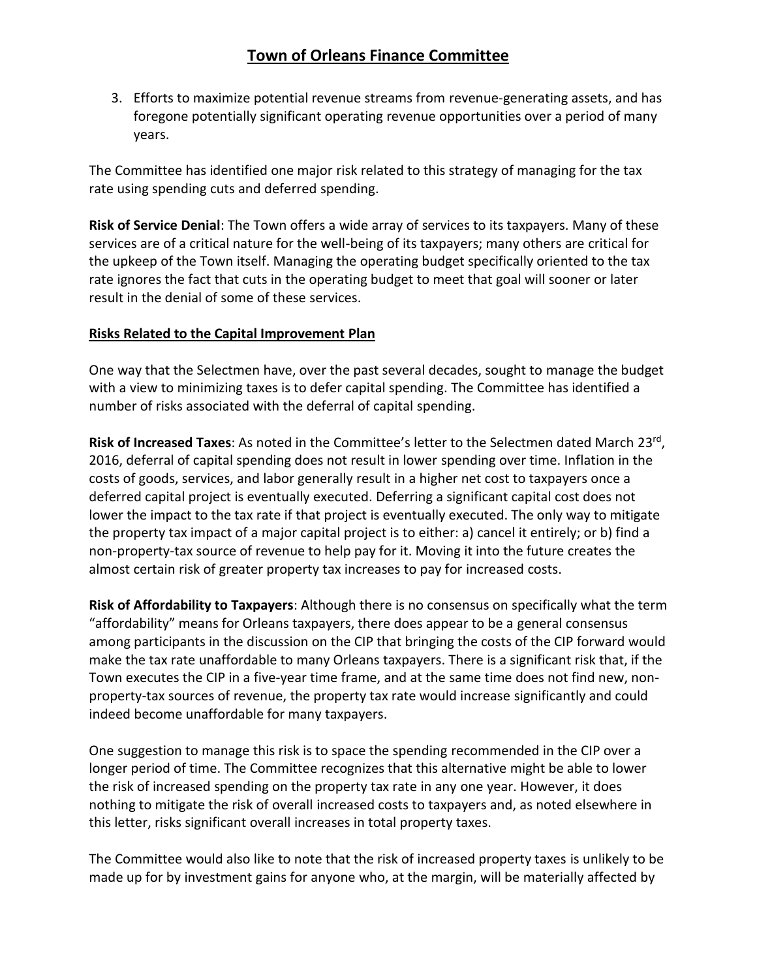3. Efforts to maximize potential revenue streams from revenue-generating assets, and has foregone potentially significant operating revenue opportunities over a period of many years.

The Committee has identified one major risk related to this strategy of managing for the tax rate using spending cuts and deferred spending.

**Risk of Service Denial**: The Town offers a wide array of services to its taxpayers. Many of these services are of a critical nature for the well-being of its taxpayers; many others are critical for the upkeep of the Town itself. Managing the operating budget specifically oriented to the tax rate ignores the fact that cuts in the operating budget to meet that goal will sooner or later result in the denial of some of these services.

#### **Risks Related to the Capital Improvement Plan**

One way that the Selectmen have, over the past several decades, sought to manage the budget with a view to minimizing taxes is to defer capital spending. The Committee has identified a number of risks associated with the deferral of capital spending.

Risk of Increased Taxes: As noted in the Committee's letter to the Selectmen dated March 23<sup>rd</sup>, 2016, deferral of capital spending does not result in lower spending over time. Inflation in the costs of goods, services, and labor generally result in a higher net cost to taxpayers once a deferred capital project is eventually executed. Deferring a significant capital cost does not lower the impact to the tax rate if that project is eventually executed. The only way to mitigate the property tax impact of a major capital project is to either: a) cancel it entirely; or b) find a non-property-tax source of revenue to help pay for it. Moving it into the future creates the almost certain risk of greater property tax increases to pay for increased costs.

**Risk of Affordability to Taxpayers**: Although there is no consensus on specifically what the term "affordability" means for Orleans taxpayers, there does appear to be a general consensus among participants in the discussion on the CIP that bringing the costs of the CIP forward would make the tax rate unaffordable to many Orleans taxpayers. There is a significant risk that, if the Town executes the CIP in a five-year time frame, and at the same time does not find new, nonproperty-tax sources of revenue, the property tax rate would increase significantly and could indeed become unaffordable for many taxpayers.

One suggestion to manage this risk is to space the spending recommended in the CIP over a longer period of time. The Committee recognizes that this alternative might be able to lower the risk of increased spending on the property tax rate in any one year. However, it does nothing to mitigate the risk of overall increased costs to taxpayers and, as noted elsewhere in this letter, risks significant overall increases in total property taxes.

The Committee would also like to note that the risk of increased property taxes is unlikely to be made up for by investment gains for anyone who, at the margin, will be materially affected by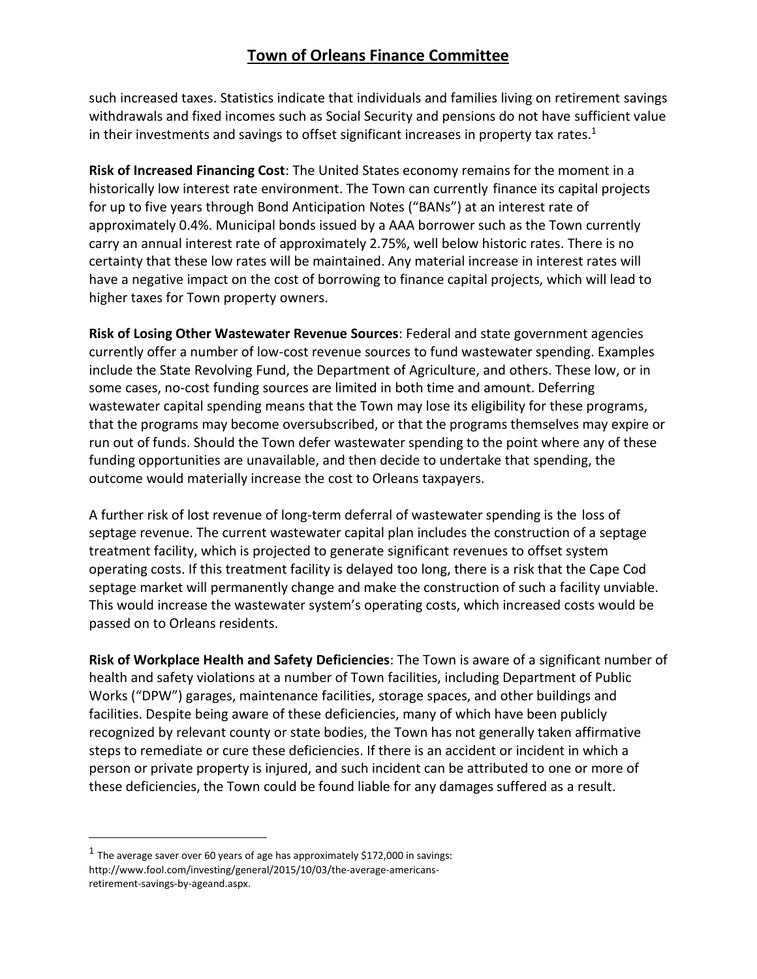such increased taxes. Statistics indicate that individuals and families living on retirement savings withdrawals and fixed incomes such as Social Security and pensions do not have sufficient value in their investments and savings to offset significant increases in property tax rates. $1$ 

**Risk of Increased Financing Cost**: The United States economy remains for the moment in a historically low interest rate environment. The Town can currently finance its capital projects for up to five years through Bond Anticipation Notes ("BANs") at an interest rate of approximately 0.4%. Municipal bonds issued by a AAA borrower such as the Town currently carry an annual interest rate of approximately 2.75%, well below historic rates. There is no certainty that these low rates will be maintained. Any material increase in interest rates will have a negative impact on the cost of borrowing to finance capital projects, which will lead to higher taxes for Town property owners.

**Risk of Losing Other Wastewater Revenue Sources**: Federal and state government agencies currently offer a number of low-cost revenue sources to fund wastewater spending. Examples include the State Revolving Fund, the Department of Agriculture, and others. These low, or in some cases, no-cost funding sources are limited in both time and amount. Deferring wastewater capital spending means that the Town may lose its eligibility for these programs, that the programs may become oversubscribed, or that the programs themselves may expire or run out of funds. Should the Town defer wastewater spending to the point where any of these funding opportunities are unavailable, and then decide to undertake that spending, the outcome would materially increase the cost to Orleans taxpayers.

A further risk of lost revenue of long-term deferral of wastewater spending is the loss of septage revenue. The current wastewater capital plan includes the construction of a septage treatment facility, which is projected to generate significant revenues to offset system operating costs. If this treatment facility is delayed too long, there is a risk that the Cape Cod septage market will permanently change and make the construction of such a facility unviable. This would increase the wastewater system's operating costs, which increased costs would be passed on to Orleans residents.

**Risk of Workplace Health and Safety Deficiencies**: The Town is aware of a significant number of health and safety violations at a number of Town facilities, including Department of Public Works ("DPW") garages, maintenance facilities, storage spaces, and other buildings and facilities. Despite being aware of these deficiencies, many of which have been publicly recognized by relevant county or state bodies, the Town has not generally taken affirmative steps to remediate or cure these deficiencies. If there is an accident or incident in which a person or private property is injured, and such incident can be attributed to one or more of these deficiencies, the Town could be found liable for any damages suffered as a result.

 $\overline{a}$ 

 $^1$  The average saver over 60 years of age has approximately \$172,000 in savings: http://www.fool.com/investing/general/2015/10/03/the-average-americansretirement-savings-by-ageand.aspx.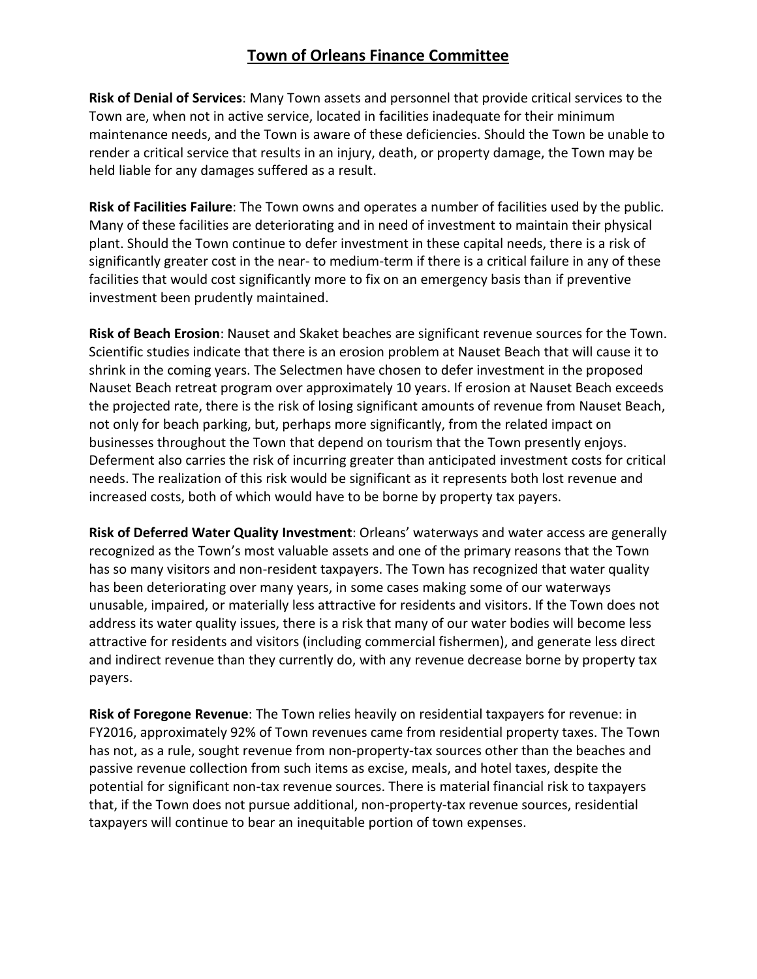**Risk of Denial of Services**: Many Town assets and personnel that provide critical services to the Town are, when not in active service, located in facilities inadequate for their minimum maintenance needs, and the Town is aware of these deficiencies. Should the Town be unable to render a critical service that results in an injury, death, or property damage, the Town may be held liable for any damages suffered as a result.

**Risk of Facilities Failure**: The Town owns and operates a number of facilities used by the public. Many of these facilities are deteriorating and in need of investment to maintain their physical plant. Should the Town continue to defer investment in these capital needs, there is a risk of significantly greater cost in the near- to medium-term if there is a critical failure in any of these facilities that would cost significantly more to fix on an emergency basis than if preventive investment been prudently maintained.

**Risk of Beach Erosion**: Nauset and Skaket beaches are significant revenue sources for the Town. Scientific studies indicate that there is an erosion problem at Nauset Beach that will cause it to shrink in the coming years. The Selectmen have chosen to defer investment in the proposed Nauset Beach retreat program over approximately 10 years. If erosion at Nauset Beach exceeds the projected rate, there is the risk of losing significant amounts of revenue from Nauset Beach, not only for beach parking, but, perhaps more significantly, from the related impact on businesses throughout the Town that depend on tourism that the Town presently enjoys. Deferment also carries the risk of incurring greater than anticipated investment costs for critical needs. The realization of this risk would be significant as it represents both lost revenue and increased costs, both of which would have to be borne by property tax payers.

**Risk of Deferred Water Quality Investment**: Orleans' waterways and water access are generally recognized as the Town's most valuable assets and one of the primary reasons that the Town has so many visitors and non-resident taxpayers. The Town has recognized that water quality has been deteriorating over many years, in some cases making some of our waterways unusable, impaired, or materially less attractive for residents and visitors. If the Town does not address its water quality issues, there is a risk that many of our water bodies will become less attractive for residents and visitors (including commercial fishermen), and generate less direct and indirect revenue than they currently do, with any revenue decrease borne by property tax payers.

**Risk of Foregone Revenue**: The Town relies heavily on residential taxpayers for revenue: in FY2016, approximately 92% of Town revenues came from residential property taxes. The Town has not, as a rule, sought revenue from non-property-tax sources other than the beaches and passive revenue collection from such items as excise, meals, and hotel taxes, despite the potential for significant non-tax revenue sources. There is material financial risk to taxpayers that, if the Town does not pursue additional, non-property-tax revenue sources, residential taxpayers will continue to bear an inequitable portion of town expenses.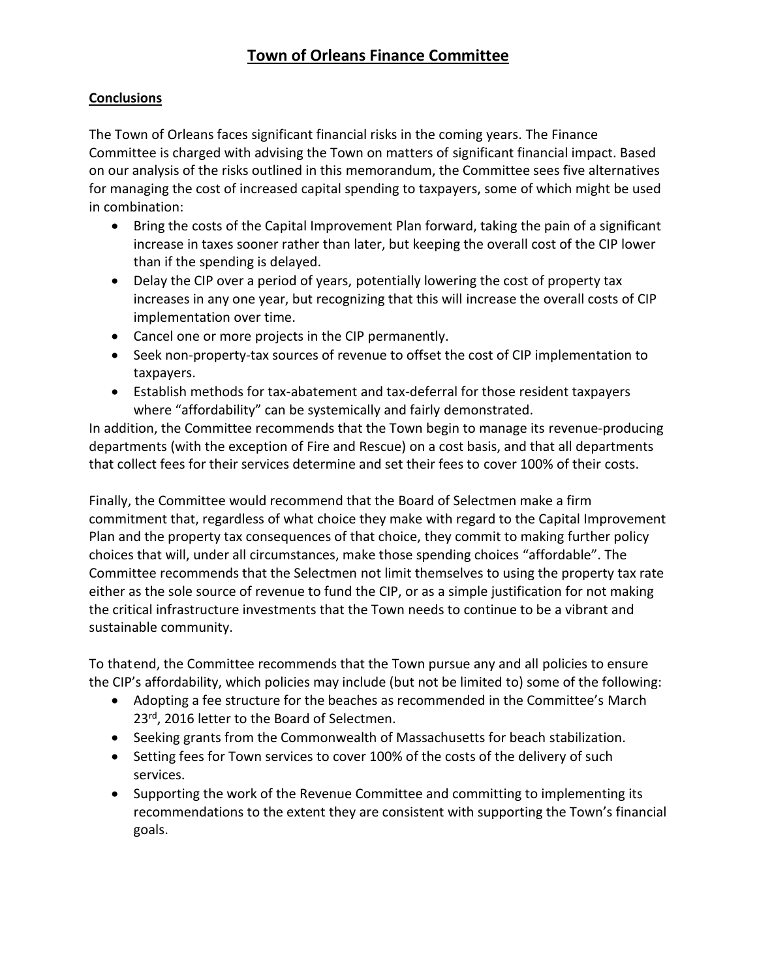### **Conclusions**

The Town of Orleans faces significant financial risks in the coming years. The Finance Committee is charged with advising the Town on matters of significant financial impact. Based on our analysis of the risks outlined in this memorandum, the Committee sees five alternatives for managing the cost of increased capital spending to taxpayers, some of which might be used in combination:

- Bring the costs of the Capital Improvement Plan forward, taking the pain of a significant increase in taxes sooner rather than later, but keeping the overall cost of the CIP lower than if the spending is delayed.
- Delay the CIP over a period of years, potentially lowering the cost of property tax increases in any one year, but recognizing that this will increase the overall costs of CIP implementation over time.
- Cancel one or more projects in the CIP permanently.
- Seek non-property-tax sources of revenue to offset the cost of CIP implementation to taxpayers.
- Establish methods for tax-abatement and tax-deferral for those resident taxpayers where "affordability" can be systemically and fairly demonstrated.

In addition, the Committee recommends that the Town begin to manage its revenue-producing departments (with the exception of Fire and Rescue) on a cost basis, and that all departments that collect fees for their services determine and set their fees to cover 100% of their costs.

Finally, the Committee would recommend that the Board of Selectmen make a firm commitment that, regardless of what choice they make with regard to the Capital Improvement Plan and the property tax consequences of that choice, they commit to making further policy choices that will, under all circumstances, make those spending choices "affordable". The Committee recommends that the Selectmen not limit themselves to using the property tax rate either as the sole source of revenue to fund the CIP, or as a simple justification for not making the critical infrastructure investments that the Town needs to continue to be a vibrant and sustainable community.

To thatend, the Committee recommends that the Town pursue any and all policies to ensure the CIP's affordability, which policies may include (but not be limited to) some of the following:

- Adopting a fee structure for the beaches as recommended in the Committee's March 23<sup>rd</sup>, 2016 letter to the Board of Selectmen.
- Seeking grants from the Commonwealth of Massachusetts for beach stabilization.
- Setting fees for Town services to cover 100% of the costs of the delivery of such services.
- Supporting the work of the Revenue Committee and committing to implementing its recommendations to the extent they are consistent with supporting the Town's financial goals.